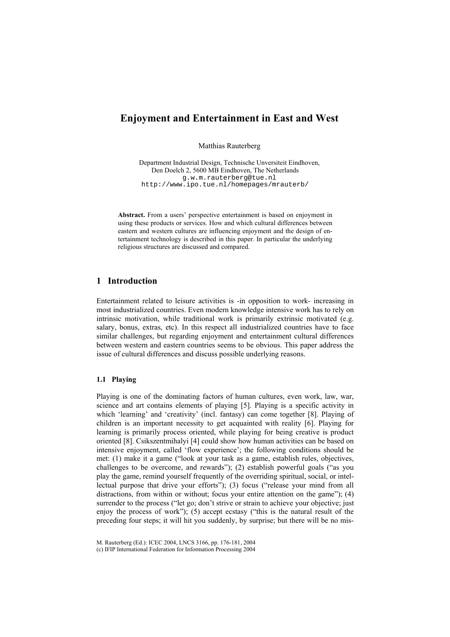# **Enjoyment and Entertainment in East and West**

Matthias Rauterberg

Department Industrial Design, Technische Unversiteit Eindhoven, Den Doelch 2, 5600 MB Eindhoven, The Netherlands g.w.m.rauterberg@tue.nl http://www.ipo.tue.nl/homepages/mrauterb/

**Abstract.** From a users' perspective entertainment is based on enjoyment in using these products or services. How and which cultural differences between eastern and western cultures are influencing enjoyment and the design of entertainment technology is described in this paper. In particular the underlying religious structures are discussed and compared.

# **1 Introduction**

Entertainment related to leisure activities is -in opposition to work- increasing in most industrialized countries. Even modern knowledge intensive work has to rely on intrinsic motivation, while traditional work is primarily extrinsic motivated (e.g. salary, bonus, extras, etc). In this respect all industrialized countries have to face similar challenges, but regarding enjoyment and entertainment cultural differences between western and eastern countries seems to be obvious. This paper address the issue of cultural differences and discuss possible underlying reasons.

#### **1.1 Playing**

Playing is one of the dominating factors of human cultures, even work, law, war, science and art contains elements of playing [5]. Playing is a specific activity in which 'learning' and 'creativity' (incl. fantasy) can come together [8]. Playing of children is an important necessity to get acquainted with reality [6]. Playing for learning is primarily process oriented, while playing for being creative is product oriented [8]. Csikszentmihalyi [4] could show how human activities can be based on intensive enjoyment, called 'flow experience'; the following conditions should be met: (1) make it a game ("look at your task as a game, establish rules, objectives, challenges to be overcome, and rewards"); (2) establish powerful goals ("as you play the game, remind yourself frequently of the overriding spiritual, social, or intellectual purpose that drive your efforts"); (3) focus ("release your mind from all distractions, from within or without; focus your entire attention on the game"); (4) surrender to the process ("let go; don't strive or strain to achieve your objective; just enjoy the process of work"); (5) accept ecstasy ("this is the natural result of the preceding four steps; it will hit you suddenly, by surprise; but there will be no mis-

M. Rauterberg (Ed.): ICEC 2004, LNCS 3166, pp. 176-181, 2004

(c) IFIP International Federation for Information Processing 2004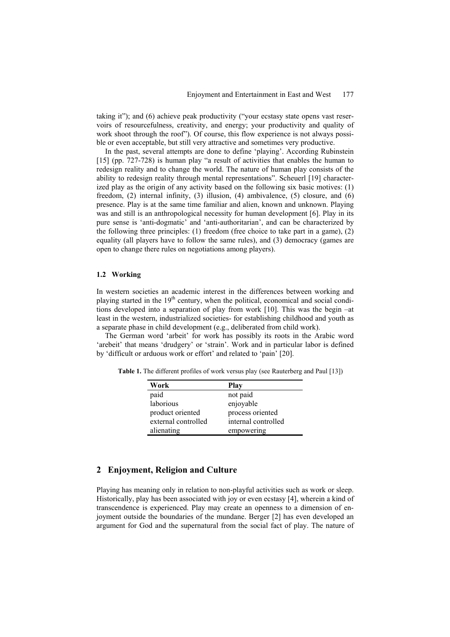taking it"); and (6) achieve peak productivity ("your ecstasy state opens vast reservoirs of resourcefulness, creativity, and energy; your productivity and quality of work shoot through the roof"). Of course, this flow experience is not always possible or even acceptable, but still very attractive and sometimes very productive.

In the past, several attempts are done to define 'playing'. According Rubinstein [15] (pp. 727-728) is human play "a result of activities that enables the human to redesign reality and to change the world. The nature of human play consists of the ability to redesign reality through mental representations". Scheuerl [19] characterized play as the origin of any activity based on the following six basic motives: (1) freedom, (2) internal infinity, (3) illusion, (4) ambivalence, (5) closure, and (6) presence. Play is at the same time familiar and alien, known and unknown. Playing was and still is an anthropological necessity for human development [6]. Play in its pure sense is 'anti-dogmatic' and 'anti-authoritarian', and can be characterized by the following three principles: (1) freedom (free choice to take part in a game), (2) equality (all players have to follow the same rules), and (3) democracy (games are open to change there rules on negotiations among players).

#### **1.2 Working**

In western societies an academic interest in the differences between working and playing started in the  $19<sup>th</sup>$  century, when the political, economical and social conditions developed into a separation of play from work [10]. This was the begin –at least in the western, industrialized societies- for establishing childhood and youth as a separate phase in child development (e.g., deliberated from child work).

The German word 'arbeit' for work has possibly its roots in the Arabic word 'arebeit' that means 'drudgery' or 'strain'. Work and in particular labor is defined by 'difficult or arduous work or effort' and related to 'pain' [20].

**Table 1.** The different profiles of work versus play (see Rauterberg and Paul [13])

| Work                | Play                |
|---------------------|---------------------|
| paid                | not paid            |
| laborious           | enjoyable           |
| product oriented    | process oriented    |
| external controlled | internal controlled |
| alienating          | empowering          |

# **2 Enjoyment, Religion and Culture**

Playing has meaning only in relation to non-playful activities such as work or sleep. Historically, play has been associated with joy or even ecstasy [4], wherein a kind of transcendence is experienced. Play may create an openness to a dimension of enjoyment outside the boundaries of the mundane. Berger [2] has even developed an argument for God and the supernatural from the social fact of play. The nature of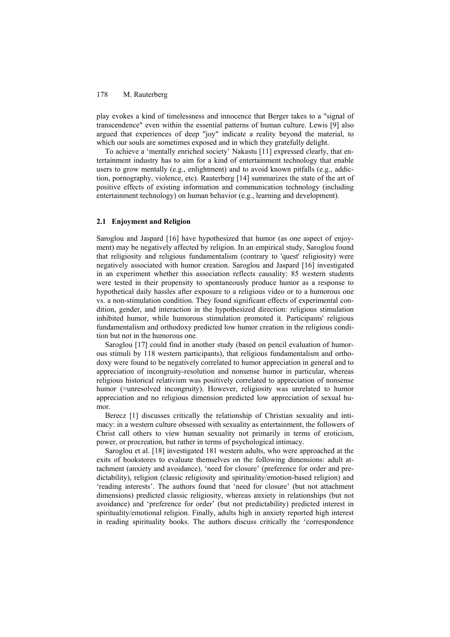### 178 M. Rauterberg

play evokes a kind of timelessness and innocence that Berger takes to a "signal of transcendence" even within the essential patterns of human culture. Lewis [9] also argued that experiences of deep "joy" indicate a reality beyond the material, to which our souls are sometimes exposed and in which they gratefully delight.

To achieve a 'mentally enriched society' Nakastu [11] expressed clearly, that entertainment industry has to aim for a kind of entertainment technology that enable users to grow mentally (e.g., enlightment) and to avoid known pitfalls (e.g., addiction, pornography, violence, etc). Rauterberg [14] summarizes the state of the art of positive effects of existing information and communication technology (including entertainment technology) on human behavior (e.g., learning and development).

#### **2.1 Enjoyment and Religion**

Saroglou and Jaspard [16] have hypothesized that humor (as one aspect of enjoyment) may be negatively affected by religion. In an empirical study, Saroglou found that religiosity and religious fundamentalism (contrary to 'quest' religiosity) were negatively associated with humor creation. Saroglou and Jaspard [16] investigated in an experiment whether this association reflects causality: 85 western students were tested in their propensity to spontaneously produce humor as a response to hypothetical daily hassles after exposure to a religious video or to a humorous one vs. a non-stimulation condition. They found significant effects of experimental condition, gender, and interaction in the hypothesized direction: religious stimulation inhibited humor, while humorous stimulation promoted it. Participants' religious fundamentalism and orthodoxy predicted low humor creation in the religious condition but not in the humorous one.

Saroglou [17] could find in another study (based on pencil evaluation of humorous stimuli by 118 western participants), that religious fundamentalism and orthodoxy were found to be negatively correlated to humor appreciation in general and to appreciation of incongruity-resolution and nonsense humor in particular, whereas religious historical relativism was positively correlated to appreciation of nonsense humor (=unresolved incongruity). However, religiosity was unrelated to humor appreciation and no religious dimension predicted low appreciation of sexual humor.

Berecz [1] discusses critically the relationship of Christian sexuality and intimacy: in a western culture obsessed with sexuality as entertainment, the followers of Christ call others to view human sexuality not primarily in terms of eroticism, power, or procreation, but rather in terms of psychological intimacy.

Saroglou et al. [18] investigated 181 western adults, who were approached at the exits of bookstores to evaluate themselves on the following dimensions: adult attachment (anxiety and avoidance), 'need for closure' (preference for order and predictability), religion (classic religiosity and spirituality/emotion-based religion) and 'reading interests'. The authors found that 'need for closure' (but not attachment dimensions) predicted classic religiosity, whereas anxiety in relationships (but not avoidance) and 'preference for order' (but not predictability) predicted interest in spirituality/emotional religion. Finally, adults high in anxiety reported high interest in reading spirituality books. The authors discuss critically the 'correspondence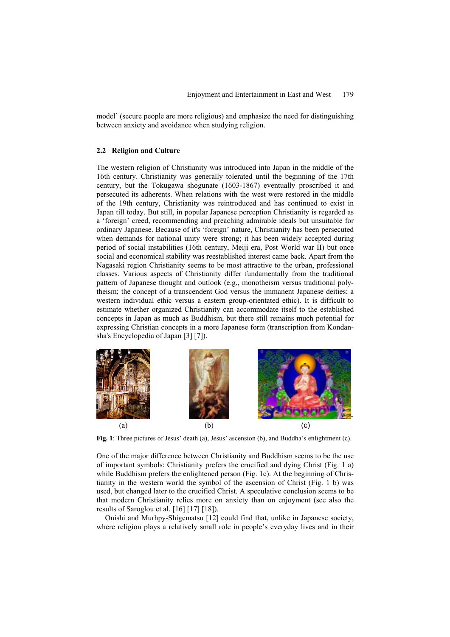model' (secure people are more religious) and emphasize the need for distinguishing between anxiety and avoidance when studying religion.

#### **2.2 Religion and Culture**

The western religion of Christianity was introduced into Japan in the middle of the 16th century. Christianity was generally tolerated until the beginning of the 17th century, but the Tokugawa shogunate (1603-1867) eventually proscribed it and persecuted its adherents. When relations with the west were restored in the middle of the 19th century, Christianity was reintroduced and has continued to exist in Japan till today. But still, in popular Japanese perception Christianity is regarded as a 'foreign' creed, recommending and preaching admirable ideals but unsuitable for ordinary Japanese. Because of it's 'foreign' nature, Christianity has been persecuted when demands for national unity were strong; it has been widely accepted during period of social instabilities (16th century, Meiji era, Post World war II) but once social and economical stability was reestablished interest came back. Apart from the Nagasaki region Christianity seems to be most attractive to the urban, professional classes. Various aspects of Christianity differ fundamentally from the traditional pattern of Japanese thought and outlook (e.g., monotheism versus traditional polytheism; the concept of a transcendent God versus the immanent Japanese deities; a western individual ethic versus a eastern group-orientated ethic). It is difficult to estimate whether organized Christianity can accommodate itself to the established concepts in Japan as much as Buddhism, but there still remains much potential for expressing Christian concepts in a more Japanese form (transcription from Kondansha's Encyclopedia of Japan [3] [7]).



**Fig. 1**: Three pictures of Jesus' death (a), Jesus' ascension (b), and Buddha's enlightment (c).

One of the major difference between Christianity and Buddhism seems to be the use of important symbols: Christianity prefers the crucified and dying Christ (Fig. 1 a) while Buddhism prefers the enlightened person (Fig. 1c). At the beginning of Christianity in the western world the symbol of the ascension of Christ (Fig. 1 b) was used, but changed later to the crucified Christ. A speculative conclusion seems to be that modern Christianity relies more on anxiety than on enjoyment (see also the results of Saroglou et al. [16] [17] [18]).

Onishi and Murhpy-Shigematsu [12] could find that, unlike in Japanese society, where religion plays a relatively small role in people's everyday lives and in their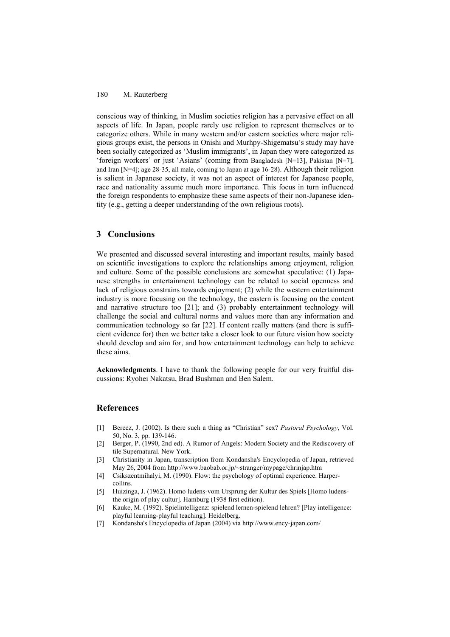### 180 M. Rauterberg

conscious way of thinking, in Muslim societies religion has a pervasive effect on all aspects of life. In Japan, people rarely use religion to represent themselves or to categorize others. While in many western and/or eastern societies where major religious groups exist, the persons in Onishi and Murhpy-Shigematsu's study may have been socially categorized as 'Muslim immigrants', in Japan they were categorized as 'foreign workers' or just 'Asians' (coming from Bangladesh [N=13], Pakistan [N=7], and Iran [N=4]; age 28-35, all male, coming to Japan at age 16-28). Although their religion is salient in Japanese society, it was not an aspect of interest for Japanese people, race and nationality assume much more importance. This focus in turn influenced the foreign respondents to emphasize these same aspects of their non-Japanese identity (e.g., getting a deeper understanding of the own religious roots).

# **3 Conclusions**

We presented and discussed several interesting and important results, mainly based on scientific investigations to explore the relationships among enjoyment, religion and culture. Some of the possible conclusions are somewhat speculative: (1) Japanese strengths in entertainment technology can be related to social openness and lack of religious constrains towards enjoyment; (2) while the western entertainment industry is more focusing on the technology, the eastern is focusing on the content and narrative structure too [21]; and (3) probably entertainment technology will challenge the social and cultural norms and values more than any information and communication technology so far [22]. If content really matters (and there is sufficient evidence for) then we better take a closer look to our future vision how society should develop and aim for, and how entertainment technology can help to achieve these aims.

**Acknowledgments**. I have to thank the following people for our very fruitful discussions: Ryohei Nakatsu, Brad Bushman and Ben Salem.

### **References**

- [1] Berecz, J. (2002). Is there such a thing as "Christian" sex? *Pastoral Psychology*, Vol. 50, No. 3, pp. 139-146.
- [2] Berger, P. (1990, 2nd ed). A Rumor of Angels: Modern Society and the Rediscovery of tile Supernatural. New York.
- [3] Christianity in Japan, transcription from Kondansha's Encyclopedia of Japan, retrieved May 26, 2004 from http://www.baobab.or.jp/~stranger/mypage/chrinjap.htm
- [4] Csikszentmihalyi, M. (1990). Flow: the psychology of optimal experience. Harpercollins.
- [5] Huizinga, J. (1962). Homo ludens-vom Ursprung der Kultur des Spiels [Homo ludensthe origin of play cultur]. Hamburg (1938 first edition).
- [6] Kauke, M. (1992). Spielintelligenz: spielend lernen-spielend lehren? [Play intelligence: playful learning-playful teaching]. Heidelberg.
- [7] Kondansha's Encyclopedia of Japan (2004) via http://www.ency-japan.com/